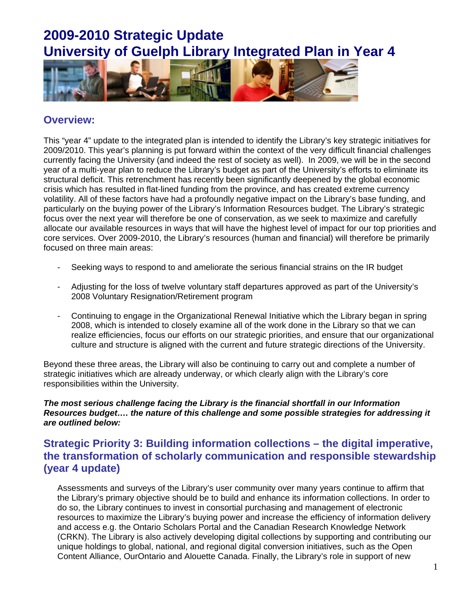

#### **Overview:**

This "year 4" update to the integrated plan is intended to identify the Library's key strategic initiatives for 2009/2010. This year's planning is put forward within the context of the very difficult financial challenges currently facing the University (and indeed the rest of society as well). In 2009, we will be in the second year of a multi-year plan to reduce the Library's budget as part of the University's efforts to eliminate its structural deficit. This retrenchment has recently been significantly deepened by the global economic crisis which has resulted in flat-lined funding from the province, and has created extreme currency volatility. All of these factors have had a profoundly negative impact on the Library's base funding, and particularly on the buying power of the Library's Information Resources budget. The Library's strategic focus over the next year will therefore be one of conservation, as we seek to maximize and carefully allocate our available resources in ways that will have the highest level of impact for our top priorities and core services. Over 2009-2010, the Library's resources (human and financial) will therefore be primarily focused on three main areas:

- Seeking ways to respond to and ameliorate the serious financial strains on the IR budget
- Adjusting for the loss of twelve voluntary staff departures approved as part of the University's 2008 Voluntary Resignation/Retirement program
- Continuing to engage in the Organizational Renewal Initiative which the Library began in spring 2008, which is intended to closely examine all of the work done in the Library so that we can realize efficiencies, focus our efforts on our strategic priorities, and ensure that our organizational culture and structure is aligned with the current and future strategic directions of the University.

Beyond these three areas, the Library will also be continuing to carry out and complete a number of strategic initiatives which are already underway, or which clearly align with the Library's core responsibilities within the University.

#### *The most serious challenge facing the Library is the financial shortfall in our Information Resources budget…. the nature of this challenge and some possible strategies for addressing it are outlined below:*

#### **Strategic Priority 3: Building information collections – the digital imperative, the transformation of scholarly communication and responsible stewardship (year 4 update)**

Assessments and surveys of the Library's user community over many years continue to affirm that the Library's primary objective should be to build and enhance its information collections. In order to do so, the Library continues to invest in consortial purchasing and management of electronic resources to maximize the Library's buying power and increase the efficiency of information delivery and access e.g. the Ontario Scholars Portal and the Canadian Research Knowledge Network (CRKN). The Library is also actively developing digital collections by supporting and contributing our unique holdings to global, national, and regional digital conversion initiatives, such as the Open Content Alliance, OurOntario and Alouette Canada. Finally, the Library's role in support of new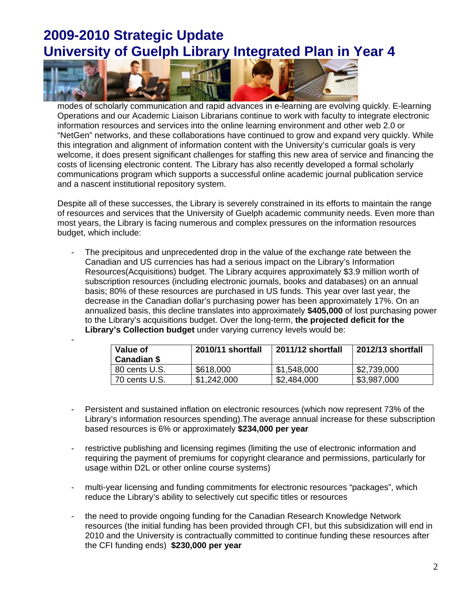

-

modes of scholarly communication and rapid advances in e-learning are evolving quickly. E-learning Operations and our Academic Liaison Librarians continue to work with faculty to integrate electronic information resources and services into the online learning environment and other web 2.0 or "NetGen" networks, and these collaborations have continued to grow and expand very quickly. While this integration and alignment of information content with the University's curricular goals is very welcome, it does present significant challenges for staffing this new area of service and financing the costs of licensing electronic content. The Library has also recently developed a formal scholarly communications program which supports a successful online academic journal publication service and a nascent institutional repository system.

Despite all of these successes, the Library is severely constrained in its efforts to maintain the range of resources and services that the University of Guelph academic community needs. Even more than most years, the Library is facing numerous and complex pressures on the information resources budget, which include:

The precipitous and unprecedented drop in the value of the exchange rate between the Canadian and US currencies has had a serious impact on the Library's Information Resources(Acquisitions) budget. The Library acquires approximately \$3.9 million worth of subscription resources (including electronic journals, books and databases) on an annual basis; 80% of these resources are purchased in US funds. This year over last year, the decrease in the Canadian dollar's purchasing power has been approximately 17%. On an annualized basis, this decline translates into approximately **\$405,000** of lost purchasing power to the Library's acquisitions budget. Over the long-term, **the projected deficit for the Library's Collection budget** under varying currency levels would be:

| Value of<br>Canadian \$ | 2010/11 shortfall | 2011/12 shortfall | 2012/13 shortfall |
|-------------------------|-------------------|-------------------|-------------------|
| 80 cents U.S.           | \$618,000         | \$1,548,000       | \$2,739,000       |
| 70 cents U.S.           | \$1,242,000       | \$2,484,000       | \$3,987,000       |

- Persistent and sustained inflation on electronic resources (which now represent 73% of the Library's information resources spending).The average annual increase for these subscription based resources is 6% or approximately **\$234,000 per year**
- restrictive publishing and licensing regimes (limiting the use of electronic information and requiring the payment of premiums for copyright clearance and permissions, particularly for usage within D2L or other online course systems)
- multi-year licensing and funding commitments for electronic resources "packages", which reduce the Library's ability to selectively cut specific titles or resources
- the need to provide ongoing funding for the Canadian Research Knowledge Network resources (the initial funding has been provided through CFI, but this subsidization will end in 2010 and the University is contractually committed to continue funding these resources after the CFI funding ends) **\$230,000 per year**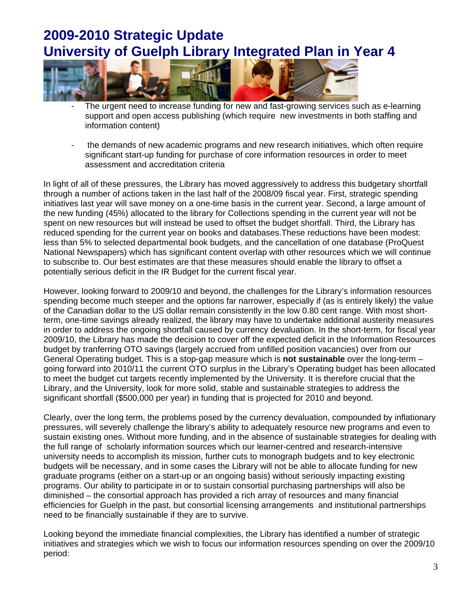

- The urgent need to increase funding for new and fast-growing services such as e-learning support and open access publishing (which require new investments in both staffing and information content)
- the demands of new academic programs and new research initiatives, which often require significant start-up funding for purchase of core information resources in order to meet assessment and accreditation criteria

In light of all of these pressures, the Library has moved aggressively to address this budgetary shortfall through a number of actions taken in the last half of the 2008/09 fiscal year. First, strategic spending initiatives last year will save money on a one-time basis in the current year. Second, a large amount of the new funding (45%) allocated to the library for Collections spending in the current year will not be spent on new resources but will instead be used to offset the budget shortfall. Third, the Library has reduced spending for the current year on books and databases.These reductions have been modest: less than 5% to selected departmental book budgets, and the cancellation of one database (ProQuest National Newspapers) which has significant content overlap with other resources which we will continue to subscribe to. Our best estimates are that these measures should enable the library to offset a potentially serious deficit in the IR Budget for the current fiscal year.

However, looking forward to 2009/10 and beyond, the challenges for the Library's information resources spending become much steeper and the options far narrower, especially if (as is entirely likely) the value of the Canadian dollar to the US dollar remain consistently in the low 0.80 cent range. With most shortterm, one-time savings already realized, the library may have to undertake additional austerity measures in order to address the ongoing shortfall caused by currency devaluation. In the short-term, for fiscal year 2009/10, the Library has made the decision to cover off the expected deficit in the Information Resources budget by tranferring OTO savings (largely accrued from unfilled position vacancies) over from our General Operating budget. This is a stop-gap measure which is **not sustainable** over the long-term – going forward into 2010/11 the current OTO surplus in the Library's Operating budget has been allocated to meet the budget cut targets recently implemented by the University. It is therefore crucial that the Library, and the University, look for more solid, stable and sustainable strategies to address the significant shortfall (\$500,000 per year) in funding that is projected for 2010 and beyond.

Clearly, over the long term, the problems posed by the currency devaluation, compounded by inflationary pressures, will severely challenge the library's ability to adequately resource new programs and even to sustain existing ones. Without more funding, and in the absence of sustainable strategies for dealing with the full range of scholarly information sources which our learner-centred and research-intensive university needs to accomplish its mission, further cuts to monograph budgets and to key electronic budgets will be necessary, and in some cases the Library will not be able to allocate funding for new graduate programs (either on a start-up or an ongoing basis) without seriously impacting existing programs. Our ability to participate in or to sustain consortial purchasing partnerships will also be diminished – the consortial approach has provided a rich array of resources and many financial efficiencies for Guelph in the past, but consortial licensing arrangements and institutional partnerships need to be financially sustainable if they are to survive.

Looking beyond the immediate financial complexities, the Library has identified a number of strategic initiatives and strategies which we wish to focus our information resources spending on over the 2009/10 period: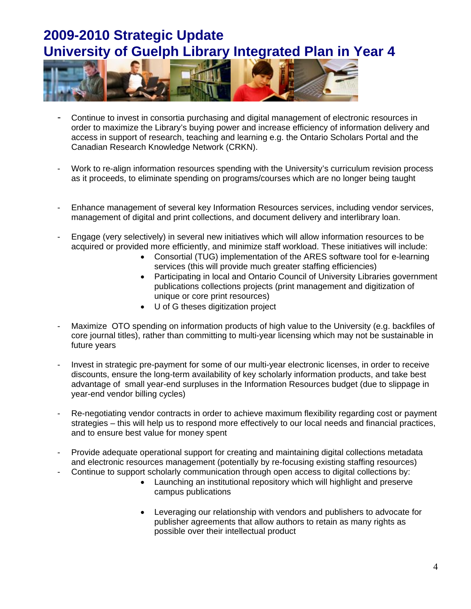

- Continue to invest in consortia purchasing and digital management of electronic resources in order to maximize the Library's buying power and increase efficiency of information delivery and access in support of research, teaching and learning e.g. the Ontario Scholars Portal and the Canadian Research Knowledge Network (CRKN).
- Work to re-align information resources spending with the University's curriculum revision process as it proceeds, to eliminate spending on programs/courses which are no longer being taught
- Enhance management of several key Information Resources services, including vendor services, management of digital and print collections, and document delivery and interlibrary loan.
- Engage (very selectively) in several new initiatives which will allow information resources to be acquired or provided more efficiently, and minimize staff workload. These initiatives will include:
	- Consortial (TUG) implementation of the ARES software tool for e-learning services (this will provide much greater staffing efficiencies)
	- Participating in local and Ontario Council of University Libraries government publications collections projects (print management and digitization of unique or core print resources)
	- U of G theses digitization project
- Maximize OTO spending on information products of high value to the University (e.g. backfiles of core journal titles), rather than committing to multi-year licensing which may not be sustainable in future years
- Invest in strategic pre-payment for some of our multi-year electronic licenses, in order to receive discounts, ensure the long-term availability of key scholarly information products, and take best advantage of small year-end surpluses in the Information Resources budget (due to slippage in year-end vendor billing cycles)
- Re-negotiating vendor contracts in order to achieve maximum flexibility regarding cost or payment strategies – this will help us to respond more effectively to our local needs and financial practices, and to ensure best value for money spent
- Provide adequate operational support for creating and maintaining digital collections metadata and electronic resources management (potentially by re-focusing existing staffing resources)
- Continue to support scholarly communication through open access to digital collections by:
	- Launching an institutional repository which will highlight and preserve campus publications
	- Leveraging our relationship with vendors and publishers to advocate for publisher agreements that allow authors to retain as many rights as possible over their intellectual product